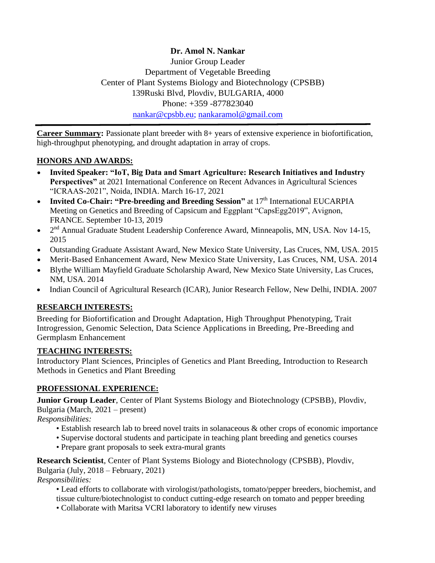**Dr. Amol N. Nankar** Junior Group Leader Department of Vegetable Breeding Center of Plant Systems Biology and Biotechnology (CPSBB) 139Ruski Blvd, Plovdiv, BULGARIA, 4000 Phone: +359 -877823040 [nankar@cpsbb.eu;](mailto:nankar@cpsbb.eu) [nankaramol@gmail.com](mailto:nankaramol@gmail.com)

**Career Summary:** Passionate plant breeder with 8+ years of extensive experience in biofortification, high-throughput phenotyping, and drought adaptation in array of crops.

## **HONORS AND AWARDS:**

- **Invited Speaker: "IoT, Big Data and Smart Agriculture: Research Initiatives and Industry Perspectives"** at 2021 International Conference on Recent Advances in Agricultural Sciences "ICRAAS-2021", Noida, INDIA. March 16-17, 2021
- **Invited Co-Chair: "Pre-breeding and Breeding Session"** at 17<sup>th</sup> International EUCARPIA Meeting on Genetics and Breeding of Capsicum and Eggplant "CapsEgg2019", Avignon, FRANCE. September 10-13, 2019
- 2<sup>nd</sup> Annual Graduate Student Leadership Conference Award, Minneapolis, MN, USA. Nov 14-15, 2015
- Outstanding Graduate Assistant Award, New Mexico State University, Las Cruces, NM, USA. 2015
- Merit-Based Enhancement Award, New Mexico State University, Las Cruces, NM, USA. 2014
- Blythe William Mayfield Graduate Scholarship Award, New Mexico State University, Las Cruces, NM, USA. 2014
- Indian Council of Agricultural Research (ICAR), Junior Research Fellow, New Delhi, INDIA. 2007

# **RESEARCH INTERESTS:**

Breeding for Biofortification and Drought Adaptation, High Throughput Phenotyping, Trait Introgression, Genomic Selection, Data Science Applications in Breeding, Pre-Breeding and Germplasm Enhancement

### **TEACHING INTERESTS:**

Introductory Plant Sciences, Principles of Genetics and Plant Breeding, Introduction to Research Methods in Genetics and Plant Breeding

### **PROFESSIONAL EXPERIENCE:**

**Junior Group Leader**, Center of Plant Systems Biology and Biotechnology (CPSBB), Plovdiv, Bulgaria (March, 2021 – present)

*Responsibilities:*

- Establish research lab to breed novel traits in solanaceous & other crops of economic importance
- Supervise doctoral students and participate in teaching plant breeding and genetics courses
- Prepare grant proposals to seek extra-mural grants

**Research Scientist**, Center of Plant Systems Biology and Biotechnology (CPSBB), Plovdiv, Bulgaria (July, 2018 – February, 2021)

*Responsibilities:*

• Lead efforts to collaborate with virologist/pathologists, tomato/pepper breeders, biochemist, and tissue culture/biotechnologist to conduct cutting-edge research on tomato and pepper breeding

• Collaborate with Maritsa VCRI laboratory to identify new viruses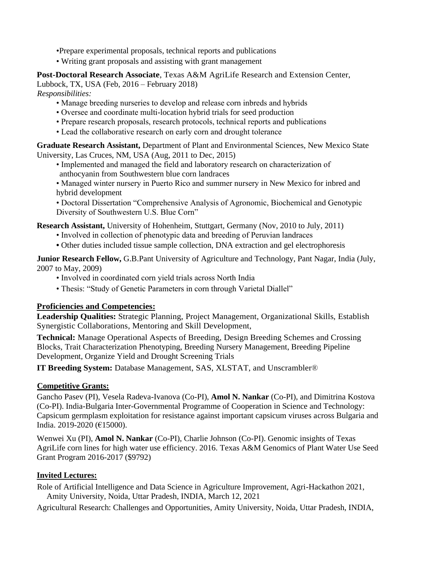•Prepare experimental proposals, technical reports and publications

• Writing grant proposals and assisting with grant management

**Post-Doctoral Research Associate**, Texas A&M AgriLife Research and Extension Center, Lubbock, TX, USA (Feb, 2016 – February 2018) *Responsibilities:*

- Manage breeding nurseries to develop and release corn inbreds and hybrids
- Oversee and coordinate multi-location hybrid trials for seed production
- Prepare research proposals, research protocols, technical reports and publications
- Lead the collaborative research on early corn and drought tolerance

**Graduate Research Assistant,** Department of Plant and Environmental Sciences, New Mexico State University, Las Cruces, NM, USA (Aug, 2011 to Dec, 2015)

• Implemented and managed the field and laboratory research on characterization of anthocyanin from Southwestern blue corn landraces

• Managed winter nursery in Puerto Rico and summer nursery in New Mexico for inbred and hybrid development

• Doctoral Dissertation "Comprehensive Analysis of Agronomic, Biochemical and Genotypic Diversity of Southwestern U.S. Blue Corn"

**Research Assistant,** University of Hohenheim, Stuttgart, Germany (Nov, 2010 to July, 2011)

- Involved in collection of phenotypic data and breeding of Peruvian landraces
- **•** Other duties included tissue sample collection, DNA extraction and gel electrophoresis

**Junior Research Fellow,** G.B.Pant University of Agriculture and Technology, Pant Nagar, India (July, 2007 to May, 2009)

- Involved in coordinated corn yield trials across North India
- Thesis: "Study of Genetic Parameters in corn through Varietal Diallel"

### **Proficiencies and Competencies:**

**Leadership Qualities:** Strategic Planning, Project Management, Organizational Skills, Establish Synergistic Collaborations, Mentoring and Skill Development,

**Technical:** Manage Operational Aspects of Breeding, Design Breeding Schemes and Crossing Blocks, Trait Characterization Phenotyping, Breeding Nursery Management, Breeding Pipeline Development, Organize Yield and Drought Screening Trials

**IT Breeding System:** Database Management, SAS, XLSTAT, and Unscrambler®

#### **Competitive Grants:**

Gancho Pasev (PI), Vesela Radeva-Ivanova (Co-PI), **Amol N. Nankar** (Co-PI), and Dimitrina Kostova (Co-PI). India-Bulgaria Inter-Governmental Programme of Cooperation in Science and Technology: Capsicum germplasm exploitation for resistance against important capsicum viruses across Bulgaria and India. 2019-2020 (€15000).

Wenwei Xu (PI), **Amol N. Nankar** (Co-PI), Charlie Johnson (Co-PI). Genomic insights of Texas AgriLife corn lines for high water use efficiency. 2016. Texas A&M Genomics of Plant Water Use Seed Grant Program 2016-2017 (\$9792)

### **Invited Lectures:**

Role of Artificial Intelligence and Data Science in Agriculture Improvement, Agri-Hackathon 2021, Amity University, Noida, Uttar Pradesh, INDIA, March 12, 2021

Agricultural Research: Challenges and Opportunities, Amity University, Noida, Uttar Pradesh, INDIA,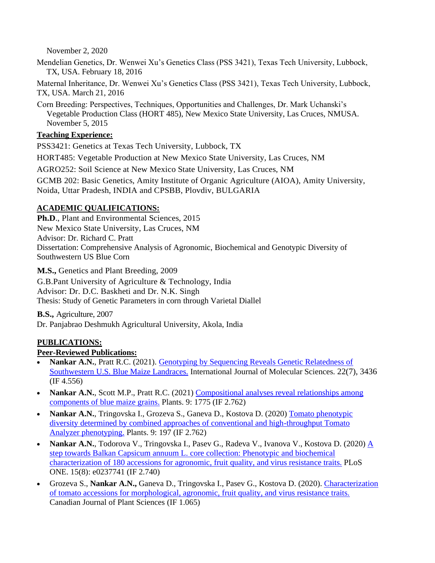November 2, 2020

Mendelian Genetics, Dr. Wenwei Xu's Genetics Class (PSS 3421), Texas Tech University, Lubbock, TX, USA. February 18, 2016

Maternal Inheritance, Dr. Wenwei Xu's Genetics Class (PSS 3421), Texas Tech University, Lubbock, TX, USA. March 21, 2016

Corn Breeding: Perspectives, Techniques, Opportunities and Challenges, Dr. Mark Uchanski's Vegetable Production Class (HORT 485), New Mexico State University, Las Cruces, NMUSA. November 5, 2015

#### **Teaching Experience:**

PSS3421: Genetics at Texas Tech University, Lubbock, TX

HORT485: Vegetable Production at New Mexico State University, Las Cruces, NM

AGRO252: Soil Science at New Mexico State University, Las Cruces, NM

GCMB 202: Basic Genetics, Amity Institute of Organic Agriculture (AIOA), Amity University, Noida, Uttar Pradesh, INDIA and CPSBB, Plovdiv, BULGARIA

### **ACADEMIC QUALIFICATIONS:**

**Ph.D**., Plant and Environmental Sciences, 2015 New Mexico State University, Las Cruces, NM Advisor: Dr. Richard C. Pratt Dissertation: Comprehensive Analysis of Agronomic, Biochemical and Genotypic Diversity of Southwestern US Blue Corn

**M.S.,** Genetics and Plant Breeding, 2009

G.B.Pant University of Agriculture & Technology, India Advisor: Dr. D.C. Baskheti and Dr. N.K. Singh Thesis: Study of Genetic Parameters in corn through Varietal Diallel

**B.S.,** Agriculture, 2007 Dr. Panjabrao Deshmukh Agricultural University, Akola, India

### **PUBLICATIONS:**

### **Peer-Reviewed Publications:**

- **Nankar A.N.**, Pratt R.C. (2021). [Genotyping by Sequencing Reveals Genetic Relatedness of](https://www.mdpi.com/1422-0067/22/7/3436)  [Southwestern U.S. Blue Maize Landraces.](https://www.mdpi.com/1422-0067/22/7/3436) International Journal of Molecular Sciences. 22(7), 3436 (IF 4.556)
- **Nankar A.N.**, Scott M.P., Pratt R.C. (2021) Compositional analyses reveal relationships among [components of blue maize grains.](https://www.mdpi.com/2223-7747/9/12/1775) Plants. 9: 1775 (IF 2.762)
- **Nankar A.N.**, Tringovska I., Grozeva S., Ganeva D., Kostova D. (2020) Tomato phenotypic [diversity determined by combined approaches of conventional and high-throughput Tomato](https://www.mdpi.com/2223-7747/9/2/197)  [Analyzer phenotyping.](https://www.mdpi.com/2223-7747/9/2/197) Plants. 9: 197 (IF 2.762)
- **Nankar A.N.**, Todorova V., Tringovska I., Pasev G., Radeva V., Ivanova V., Kostova D. (2020) A step towards Balkan Capsicum annuum L. [core collection: Phenotypic and biochemical](https://journals.plos.org/plosone/article?id=10.1371/journal.pone.0237741)  [characterization of 180 accessions for agronomic, fruit quality, and virus resistance traits.](https://journals.plos.org/plosone/article?id=10.1371/journal.pone.0237741) PLoS ONE. 15(8): e0237741 (IF 2.740)
- Grozeva S., **Nankar A.N.,** Ganeva D., Tringovska I., Pasev G., Kostova D. (2020). [Characterization](https://cdnsciencepub.com/doi/abs/10.1139/CJPS-2020-0030)  [of tomato accessions for morphological, agronomic, fruit quality, and virus resistance traits.](https://cdnsciencepub.com/doi/abs/10.1139/CJPS-2020-0030) Canadian Journal of Plant Sciences (IF 1.065)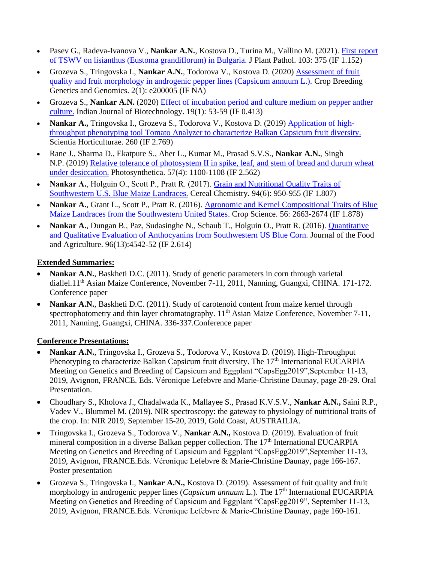- Pasev G., Radeva-Ivanova V., **Nankar A.N.**, Kostova D., Turina M., Vallino M. (2021). [First report](https://link.springer.com/article/10.1007/s42161-020-00702-3)  [of TSWV on lisianthus \(Eustoma grandiflorum\) in Bulgaria.](https://link.springer.com/article/10.1007/s42161-020-00702-3) J Plant Pathol. 103: 375 (IF 1.152)
- Grozeva S., Tringovska I., **Nankar A.N.**, Todorova V., Kostova D. (2020) [Assessment of fruit](https://cbgg.hapres.com/htmls/CBGG_1177_Detail.html)  [quality and fruit morphology in androgenic pepper lines \(Capsicum annuum L.\).](https://cbgg.hapres.com/htmls/CBGG_1177_Detail.html) Crop Breeding Genetics and Genomics. 2(1): e200005 (IF NA)
- Grozeva S., **Nankar A.N.** (2020) [Effect of incubation period and culture medium on pepper anther](http://nopr.niscair.res.in/handle/123456789/55162)  [culture.](http://nopr.niscair.res.in/handle/123456789/55162) Indian Journal of Biotechnology. 19(1): 53-59 (IF 0.413)
- **Nankar A.,** Tringovska I., Grozeva S., Todorova V., Kostova D. (2019) [Application of high](https://www.sciencedirect.com/science/article/abs/pii/S0304423819307484?via%3Dihub)[throughput phenotyping tool Tomato Analyzer to characterize Balkan](https://www.sciencedirect.com/science/article/abs/pii/S0304423819307484?via%3Dihub) Capsicum fruit diversity. Scientia Horticulturae. 260 (IF 2.769)
- Rane J., Sharma D., Ekatpure S., Aher L., Kumar M., Prasad S.V.S., **Nankar A.N.**, Singh N.P. (2019) [Relative tolerance of photosystem II in spike, leaf, and stem of bread and durum wheat](http://ps.ueb.cas.cz/artkey/phs-201904-0021_relative-tolerance-of-photosystem-ii-in-spike-leaf-and-stem-of-bread-and-durum-wheat-under-desiccation.php)  [under desiccation.](http://ps.ueb.cas.cz/artkey/phs-201904-0021_relative-tolerance-of-photosystem-ii-in-spike-leaf-and-stem-of-bread-and-durum-wheat-under-desiccation.php) Photosynthetica. 57(4): 1100-1108 (IF 2.562)
- Nankar A., Holguin O., Scott P., Pratt R. (2017). Grain and Nutritional Quality Traits of [Southwestern U.S. Blue Maize Landraces.](https://onlinelibrary.wiley.com/doi/abs/10.1094/CCHEM-04-17-0079-R) Cereal Chemistry. 94(6): 950-955 (IF 1.807)
- **Nankar A.**, Grant L., Scott P., Pratt R. (2016). [Agronomic and Kernel Compositional Traits of Blue](https://acsess.onlinelibrary.wiley.com/doi/full/10.2135/cropsci2015.12.0773)  [Maize Landraces from the Southwestern United States.](https://acsess.onlinelibrary.wiley.com/doi/full/10.2135/cropsci2015.12.0773) Crop Science. 56: 2663-2674 (IF 1.878)
- **Nankar A.**, Dungan B., Paz, Sudasinghe N., Schaub T., Holguin O., Pratt R. (2016). Quantitative [and Qualitative Evaluation of Anthocyanins from Southwestern US Blue Corn.](https://onlinelibrary.wiley.com/doi/abs/10.1002/jsfa.7671) Journal of the Food and Agriculture. 96(13):4542-52 (IF 2.614)

### **Extended Summaries:**

- **Nankar A.N.**, Baskheti D.C. (2011). Study of genetic parameters in corn through varietal diallel.11<sup>th</sup> Asian Maize Conference, November 7-11, 2011, Nanning, Guangxi, CHINA. 171-172. Conference paper
- **Nankar A.N.**, Baskheti D.C. (2011). Study of carotenoid content from maize kernel through spectrophotometry and thin layer chromatography. 11<sup>th</sup> Asian Maize Conference, November 7-11, 2011, Nanning, Guangxi, CHINA. 336-337.Conference paper

#### **Conference Presentations:**

- **Nankar A.N.**, Tringovska I., Grozeva S., Todorova V., Kostova D. (2019). High-Throughput Phenotyping to characterize Balkan Capsicum fruit diversity. The 17<sup>th</sup> International EUCARPIA Meeting on Genetics and Breeding of Capsicum and Eggplant "CapsEgg2019",September 11-13, 2019, Avignon, FRANCE. Eds. Véronique Lefebvre and Marie-Christine Daunay, page 28-29. Oral Presentation.
- Choudhary S., Kholova J., Chadalwada K., Mallayee S., Prasad K.V.S.V., **Nankar A.N.,** Saini R.P., Vadev V., Blummel M. (2019). NIR spectroscopy: the gateway to physiology of nutritional traits of the crop. In: NIR 2019, September 15-20, 2019, Gold Coast, AUSTRAILIA.
- Tringovska I., Grozeva S., Todorova V., **Nankar A.N.,** Kostova D. (2019). Evaluation of fruit mineral composition in a diverse Balkan pepper collection. The 17<sup>th</sup> International EUCARPIA Meeting on Genetics and Breeding of Capsicum and Eggplant "CapsEgg2019",September 11-13, 2019, Avignon, FRANCE.Eds. Véronique Lefebvre & Marie-Christine Daunay, page 166-167. Poster presentation
- Grozeva S., Tringovska I., **Nankar A.N.,** Kostova D. (2019). Assessment of fuit quality and fruit morphology in androgenic pepper lines (*Capsicum annuum* L.). The 17<sup>th</sup> International EUCARPIA Meeting on Genetics and Breeding of Capsicum and Eggplant "CapsEgg2019", September 11-13, 2019, Avignon, FRANCE.Eds. Véronique Lefebvre & Marie-Christine Daunay, page 160-161.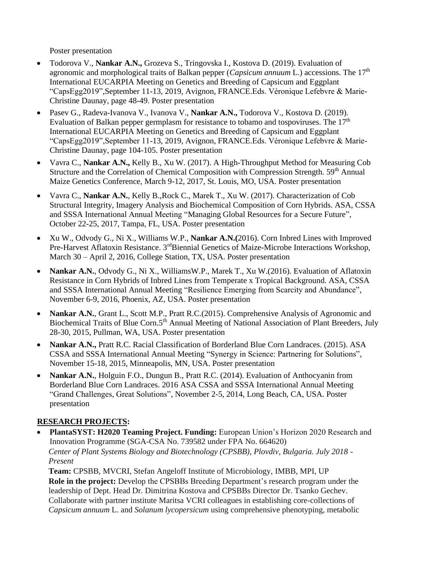Poster presentation

- Todorova V., **Nankar A.N.,** Grozeva S., Tringovska I., Kostova D. (2019). Evaluation of agronomic and morphological traits of Balkan pepper (*Capsicum annuum* L.) accessions. The 17th International EUCARPIA Meeting on Genetics and Breeding of Capsicum and Eggplant "CapsEgg2019",September 11-13, 2019, Avignon, FRANCE.Eds. Véronique Lefebvre & Marie-Christine Daunay, page 48-49. Poster presentation
- Pasev G., Radeva-Ivanova V., Ivanova V., **Nankar A.N.,** Todorova V., Kostova D. (2019). Evaluation of Balkan pepper germplasm for resistance to tobamo and tospoviruses. The  $17<sup>th</sup>$ International EUCARPIA Meeting on Genetics and Breeding of Capsicum and Eggplant "CapsEgg2019",September 11-13, 2019, Avignon, FRANCE.Eds. Véronique Lefebvre & Marie-Christine Daunay, page 104-105. Poster presentation
- Vavra C., **Nankar A.N.,** Kelly B., Xu W. (2017). A High-Throughput Method for Measuring Cob Structure and the Correlation of Chemical Composition with Compression Strength. 59<sup>th</sup> Annual Maize Genetics Conference, March 9-12, 2017, St. Louis, MO, USA. Poster presentation
- Vavra C., **Nankar A.N.**, Kelly B.,Rock C., Marek T., Xu W. (2017). Characterization of Cob Structural Integrity, Imagery Analysis and Biochemical Composition of Corn Hybrids. ASA, CSSA and SSSA International Annual Meeting "Managing Global Resources for a Secure Future", October 22-25, 2017, Tampa, FL, USA. Poster presentation
- Xu W., Odvody G., Ni X., Williams W.P., **Nankar A.N.(**2016). Corn Inbred Lines with Improved Pre-Harvest Aflatoxin Resistance. 3<sup>rd</sup>Biennial Genetics of Maize-Microbe Interactions Workshop, March 30 – April 2, 2016, College Station, TX, USA. Poster presentation
- **Nankar A.N.**, Odvody G., Ni X., WilliamsW.P., Marek T., Xu W.(2016). Evaluation of Aflatoxin Resistance in Corn Hybrids of Inbred Lines from Temperate x Tropical Background. ASA, CSSA and SSSA International Annual Meeting "Resilience Emerging from Scarcity and Abundance", November 6-9, 2016, Phoenix, AZ, USA. Poster presentation
- **Nankar A.N.**, Grant L., Scott M.P., Pratt R.C.(2015). Comprehensive Analysis of Agronomic and Biochemical Traits of Blue Corn.5<sup>th</sup> Annual Meeting of National Association of Plant Breeders, July 28-30, 2015, Pullman, WA, USA. Poster presentation
- **Nankar A.N.,** Pratt R.C. Racial Classification of Borderland Blue Corn Landraces. (2015). ASA CSSA and SSSA International Annual Meeting "Synergy in Science: Partnering for Solutions", November 15-18, 2015, Minneapolis, MN, USA. Poster presentation
- **Nankar A.N.**, Holguin F.O., Dungun B., Pratt R.C. (2014). Evaluation of Anthocyanin from Borderland Blue Corn Landraces. 2016 ASA CSSA and SSSA International Annual Meeting "Grand Challenges, Great Solutions", November 2-5, 2014, Long Beach, CA, USA. Poster presentation

### **RESEARCH PROJECTS:**

• **PlantaSYST: H2020 Teaming Project. Funding:** European Union's Horizon 2020 Research and Innovation Programme (SGA-CSA No. 739582 under FPA No. 664620) *Center of Plant Systems Biology and Biotechnology (CPSBB), Plovdiv, Bulgaria. July 2018 - Present*

**Team:** CPSBB, MVCRI, Stefan Angeloff Institute of Microbiology, IMBB, MPI, UP **Role in the project:** Develop the CPSBBs Breeding Department's research program under the leadership of Dept. Head Dr. Dimitrina Kostova and CPSBBs Director Dr. Tsanko Gechev. Collaborate with partner institute Maritsa VCRI colleagues in establishing core-collections of *Capsicum annuum* L. and *Solanum lycopersicum* using comprehensive phenotyping, metabolic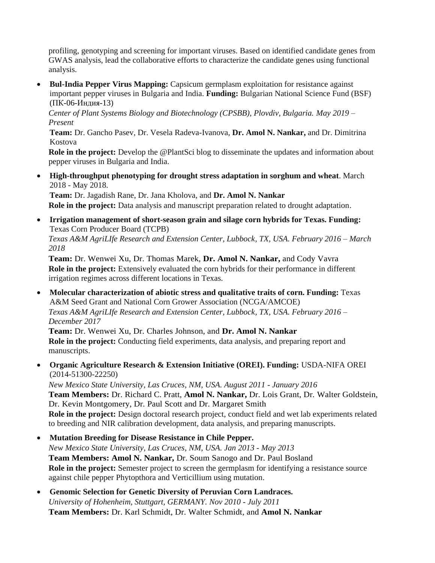profiling, genotyping and screening for important viruses. Based on identified candidate genes from GWAS analysis, lead the collaborative efforts to characterize the candidate genes using functional analysis.

• **Bul-India Pepper Virus Mapping:** Capsicum germplasm exploitation for resistance against important pepper viruses in Bulgaria and India. **Funding:** Bulgarian National Science Fund (BSF) (ПК-06-Индия-13)

*Center of Plant Systems Biology and Biotechnology (CPSBB), Plovdiv, Bulgaria. May 2019 – Present*

**Team:** Dr. Gancho Pasev, Dr. Vesela Radeva-Ivanova, **Dr. Amol N. Nankar,** and Dr. Dimitrina Kostova

**Role in the project:** Develop the @PlantSci blog to disseminate the updates and information about pepper viruses in Bulgaria and India.

• **High-throughput phenotyping for drought stress adaptation in sorghum and wheat**. March 2018 - May 2018.

**Team:** Dr. Jagadish Rane, Dr. Jana Kholova, and **Dr. Amol N. Nankar Role in the project:** Data analysis and manuscript preparation related to drought adaptation.

• **Irrigation management of short-season grain and silage corn hybrids for Texas. Funding:**  Texas Corn Producer Board (TCPB)

*Texas A&M AgriLIfe Research and Extension Center, Lubbock, TX, USA. February 2016 – March 2018*

**Team:** Dr. Wenwei Xu, Dr. Thomas Marek, **Dr. Amol N. Nankar,** and Cody Vavra **Role in the project:** Extensively evaluated the corn hybrids for their performance in different irrigation regimes across different locations in Texas.

• **Molecular characterization of abiotic stress and qualitative traits of corn. Funding:** Texas A&M Seed Grant and National Corn Grower Association (NCGA/AMCOE) *Texas A&M AgriLIfe Research and Extension Center, Lubbock, TX, USA. February 2016 – December 2017*

**Team:** Dr. Wenwei Xu, Dr. Charles Johnson, and **Dr. Amol N. Nankar Role in the project:** Conducting field experiments, data analysis, and preparing report and manuscripts.

• **Organic Agriculture Research & Extension Initiative (OREI). Funding:** USDA-NIFA OREI (2014-51300-22250)

*New Mexico State University, Las Cruces, NM, USA. August 2011 - January 2016* **Team Members:** Dr. Richard C. Pratt, **Amol N. Nankar,** Dr. Lois Grant, Dr. Walter Goldstein, Dr. Kevin Montgomery, Dr. Paul Scott and Dr. Margaret Smith **Role in the project:** Design doctoral research project, conduct field and wet lab experiments related to breeding and NIR calibration development, data analysis, and preparing manuscripts.

- **Mutation Breeding for Disease Resistance in Chile Pepper.** *New Mexico State University, Las Cruces, NM, USA. Jan 2013 - May 2013* **Team Members: Amol N. Nankar,** Dr. Soum Sanogo and Dr. Paul Bosland **Role in the project:** Semester project to screen the germplasm for identifying a resistance source against chile pepper Phytopthora and Verticillium using mutation.
- **Genomic Selection for Genetic Diversity of Peruvian Corn Landraces.** *University of Hohenheim, Stuttgart, GERMANY. Nov 2010 - July 2011* **Team Members:** Dr. Karl Schmidt, Dr. Walter Schmidt, and **Amol N. Nankar**